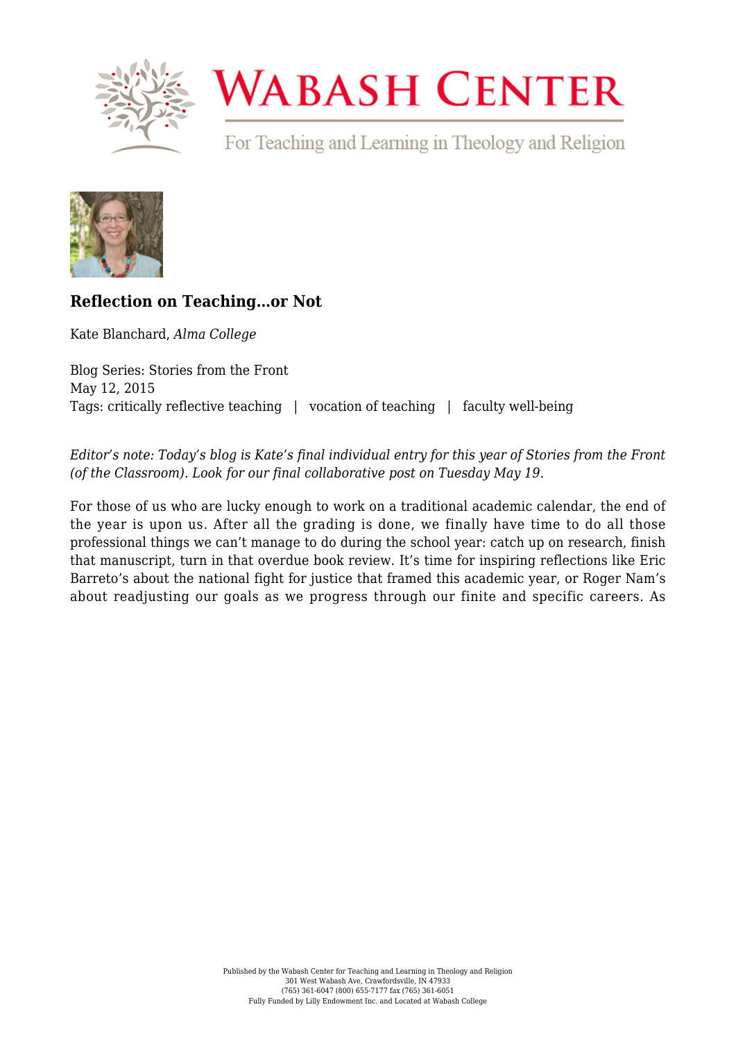

## **WABASH CENTER**

For Teaching and Learning in Theology and Religion



## **[Reflection on Teaching…or Not](https://www.wabashcenter.wabash.edu/2015/05/reflection-on-teachingor-not/)**

Kate Blanchard, *Alma College*

Blog Series: Stories from the Front May 12, 2015 Tags: critically reflective teaching | vocation of teaching | faculty well-being

*Editor's note: Today's blog is Kate's final individual entry for this year of Stories from the Front (of the Classroom). Look for our final collaborative post on Tuesday May 19*.

For those of us who are lucky enough to work on a traditional academic calendar, the end of the year is upon us. After all the grading is done, we finally have time to do all those professional things we can't manage to do during the school year: catch up on research, finish that manuscript, turn in that overdue book review. It's time for inspiring reflections like [Eric](https://www.wabashcenter.wabash.edu/2015/05/framing-the-academic-year/) [Barreto's](https://www.wabashcenter.wabash.edu/2015/05/framing-the-academic-year/) about the national fight for justice that framed this academic year, or [Roger Nam's](https://www.wabashcenter.wabash.edu/2015/04/there-is-a-time-for-everything/) about readjusting our goals as we progress through our finite and specific careers. As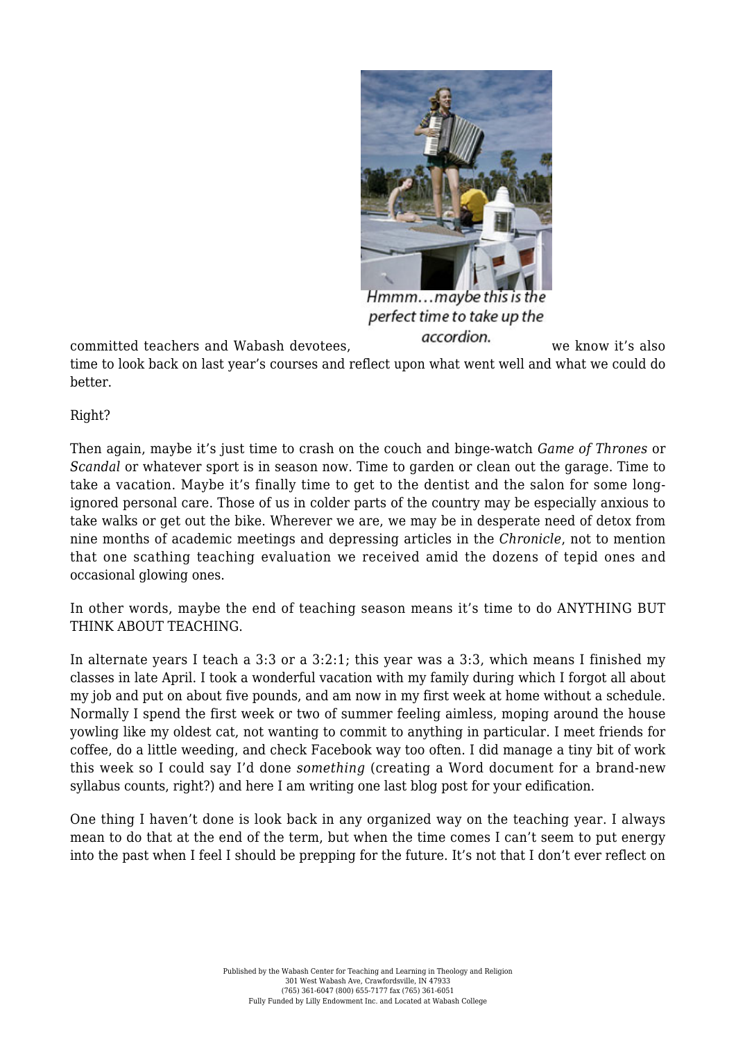

Hmmm...maybe this is the perfect time to take up the

committed teachers and Wabash devotees. **accordion** and we know it's also time to look back on last year's courses and reflect upon what went well and what we could do better.

Right?

Then again, maybe it's just time to crash on the couch and binge-watch *Game of Thrones* or *Scandal* or whatever sport is in season now. Time to garden or clean out the garage. Time to take a vacation. Maybe it's finally time to get to the dentist and the salon for some longignored personal care. Those of us in colder parts of the country may be especially anxious to take walks or get out the bike. Wherever we are, we may be in desperate need of detox from nine months of academic meetings and depressing articles in the *Chronicle*, not to mention that one scathing teaching evaluation we received amid the dozens of tepid ones and occasional glowing ones.

In other words, maybe the end of teaching season means it's time to do ANYTHING BUT THINK ABOUT TEACHING.

In alternate years I teach a 3:3 or a 3:2:1; this year was a 3:3, which means I finished my classes in late April. I took a wonderful vacation with my family during which I forgot all about my job and put on about five pounds, and am now in my first week at home without a schedule. Normally I spend the first week or two of summer feeling aimless, moping around the house yowling like my oldest cat, not wanting to commit to anything in particular. I meet friends for coffee, do a little weeding, and check Facebook way too often. I did manage a tiny bit of work this week so I could say I'd done *something* (creating a Word document for a brand-new syllabus counts, right?) and here I am writing one last blog post for your edification.

One thing I haven't done is look back in any organized way on the teaching year. I always mean to do that at the end of the term, but when the time comes I can't seem to put energy into the past when I feel I should be prepping for the future. It's not that I don't ever reflect on